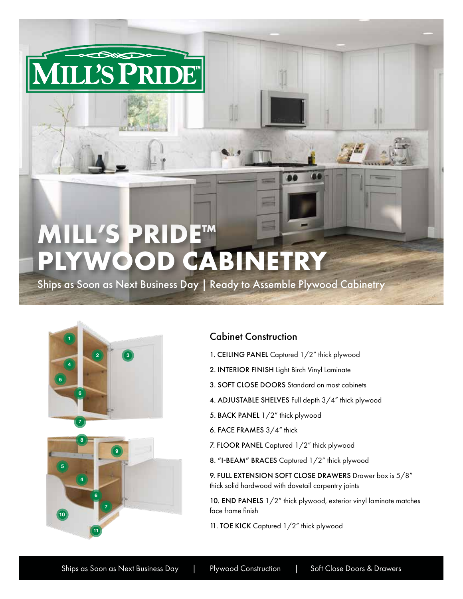## **MILL'S PRIDE™**  $\rightarrow$ **PLYWOOD CABINETRY**

LL'S PRIDE

Ships as Soon as Next Business Day | Ready to Assemble Plywood Cabinetry



## Cabinet Construction

- 1. CEILING PANEL Captured 1/2" thick plywood
- 2. INTERIOR FINISH Light Birch Vinyl Laminate
- 3. SOFT CLOSE DOORS Standard on most cabinets
- 4. ADJUSTABLE SHELVES Full depth 3/4" thick plywood
- 5. BACK PANEL 1/2" thick plywood
- 6. FACE FRAMES 3/4" thick
- 7. FLOOR PANEL Captured 1/2" thick plywood
- 8. "I-BEAM" BRACES Captured 1/2" thick plywood

9. FULL EXTENSION SOFT CLOSE DRAWERS Drawer box is 5/8" thick solid hardwood with dovetail carpentry joints

10. END PANELS 1/2" thick plywood, exterior vinyl laminate matches face frame finish

11. TOE KICK Captured 1/2" thick plywood